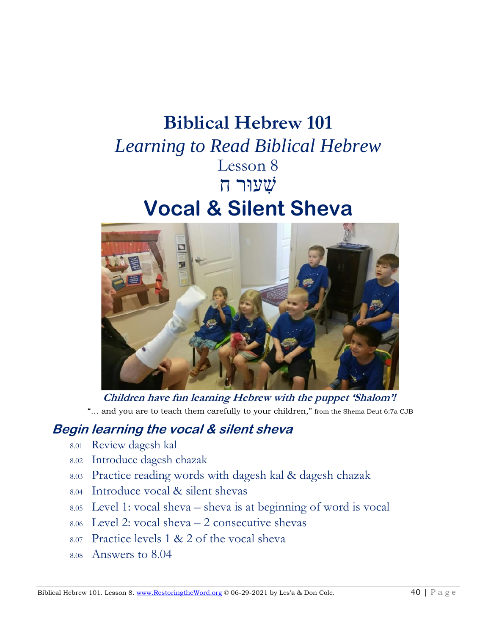# **Biblical Hebrew 101**  *Learning to Read Biblical Hebrew* Lesson 8 שִׁ עוּר ח **Vocal & Silent Sheva**



**Children have fun learning Hebrew with the puppet 'Shalom'!** "… and you are to teach them carefully to your children," from the Shema Deut 6:7a CJB

# **Begin learning the vocal & silent sheva**

- 8.01 Review dagesh kal
- 8.02 Introduce dagesh chazak
- 8.03 Practice reading words with dagesh kal & dagesh chazak
- 8.04 Introduce vocal & silent shevas
- 8.05 Level 1: vocal sheva sheva is at beginning of word is vocal
- 8.06 Level 2: vocal sheva 2 consecutive shevas
- 8.07 Practice levels 1 & 2 of the vocal sheva
- 8.08 Answers to 8.04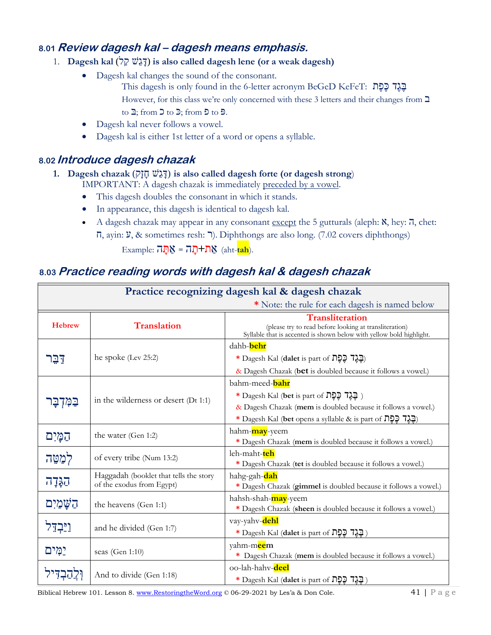# **8.01 Review dagesh kal – dagesh means emphasis.**

- 1. **Dagesh kal** (לַּק שֵּׁג ד (**is also called dagesh lene (or a weak dagesh)**
	- Dagesh kal changes the sound of the consonant. This dagesh is only found in the 6-letter acronym BeGeD KeFeT: בָּגֶד כֵּפֶת However, for this class we're only concerned with these 3 letters and their changes from ב to  $\mathfrak{D}$ ; from  $\mathfrak{D}$  to  $\mathfrak{D}$ ; from  $\mathfrak{D}$  to  $\mathfrak{D}$ .
	- Dagesh kal never follows a vowel.
	- Dagesh kal is either 1st letter of a word or opens a syllable.

### **8.02 Introduce dagesh chazak**

#### **1. Dagesh chazak** (דְּגָשׁׁ דָּוָק) is also called dagesh forte (or dagesh strong) IMPORTANT: A dagesh chazak is immediately preceded by a vowel.

- This dagesh doubles the consonant in which it stands.
- In appearance, this dagesh is identical to dagesh kal.
- A dagesh chazak may appear in any consonant except the 5 gutturals (aleph:  $\aleph$ , hey:  $\overline{\eta}$ , chet:
	- ח, ayin: ע, & sometimes resh: ר(. Diphthongs are also long. (7.02 covers diphthongs)

Example: אַת<sup>ּ +</sup>תָה = אַתַּה (aht-tah).

#### **8.03 Practice reading words with dagesh kal & dagesh chazak**  $\it{rtice}$  reading words with dagesh kal & dage

| Practice recognizing dagesh kal & dagesh chazak |                                                                     |                                                                                                                                                          |  |  |
|-------------------------------------------------|---------------------------------------------------------------------|----------------------------------------------------------------------------------------------------------------------------------------------------------|--|--|
| * Note: the rule for each dagesh is named below |                                                                     |                                                                                                                                                          |  |  |
| <b>Hebrew</b>                                   | <b>Translation</b>                                                  | <b>Transliteration</b><br>(please try to read before looking at transliteration)<br>Syllable that is accented is shown below with yellow bold highlight. |  |  |
|                                                 |                                                                     | dahb- <b>behr</b>                                                                                                                                        |  |  |
| <u>דַבֵּר</u>                                   | he spoke (Lev 25:2)                                                 | * Dagesh Kal (dalet is part of הֲבֶד כֶּפֶת                                                                                                              |  |  |
|                                                 |                                                                     | & Dagesh Chazak (bet is doubled because it follows a vowel.)                                                                                             |  |  |
|                                                 | in the wilderness or desert (Dt 1:1)                                | bahm-meed- <mark>bahr</mark>                                                                                                                             |  |  |
| בַּמִּדְבָּר                                    |                                                                     | * Dagesh Kal (bet is part of הֲבֶלָךְ בַּ                                                                                                                |  |  |
|                                                 |                                                                     | & Dagesh Chazak (mem is doubled because it follows a vowel.)                                                                                             |  |  |
|                                                 |                                                                     | * Dagesh Kal (bet opens a syllable & is part of הֲבֶד כָּםָת                                                                                             |  |  |
| הַמַּיִם                                        | the water (Gen 1:2)                                                 | hahm- <mark>may</mark> -yeem                                                                                                                             |  |  |
|                                                 |                                                                     | * Dagesh Chazak (mem is doubled because it follows a vowel.)                                                                                             |  |  |
| לִמַטֵּה                                        | of every tribe (Num 13:2)                                           | leh-maht- <mark>teh</mark><br>* Dagesh Chazak (tet is doubled because it follows a vowel.)                                                               |  |  |
|                                                 | Haggadah (booklet that tells the story<br>of the exodus from Egypt) | hahg-gah-dah                                                                                                                                             |  |  |
| הַגְּדָה                                        |                                                                     | * Dagesh Chazak (gimmel is doubled because it follows a vowel.)                                                                                          |  |  |
| הַשָּׁמַיִם                                     | the heavens (Gen 1:1)                                               | hahsh-shah-may-yeem                                                                                                                                      |  |  |
|                                                 |                                                                     | * Dagesh Chazak (sheen is doubled because it follows a vowel.)                                                                                           |  |  |
| ויַבְדֵל                                        | and he divided (Gen 1:7)                                            | vay-yahv-dehl                                                                                                                                            |  |  |
|                                                 |                                                                     | * Dagesh Kal (dalet is part of תְּבֵל בְּ                                                                                                                |  |  |
| יַמִּים                                         | seas (Gen 1:10)                                                     | yahm-m <mark>ee</mark> m                                                                                                                                 |  |  |
|                                                 |                                                                     | * Dagesh Chazak (mem is doubled because it follows a vowel.)                                                                                             |  |  |
|                                                 | And to divide (Gen 1:18)                                            | oo-lah-hahv-deel                                                                                                                                         |  |  |
|                                                 |                                                                     | * Dagesh Kal (dalet is part of בְּגֵד בֶפָת                                                                                                              |  |  |

Biblical Hebrew 101. Lesson 8. [www.RestoringtheWord.org](http://www.restoringtheword.org/) © 06-29-2021 by Les'a & Don Cole. 41 | P a g e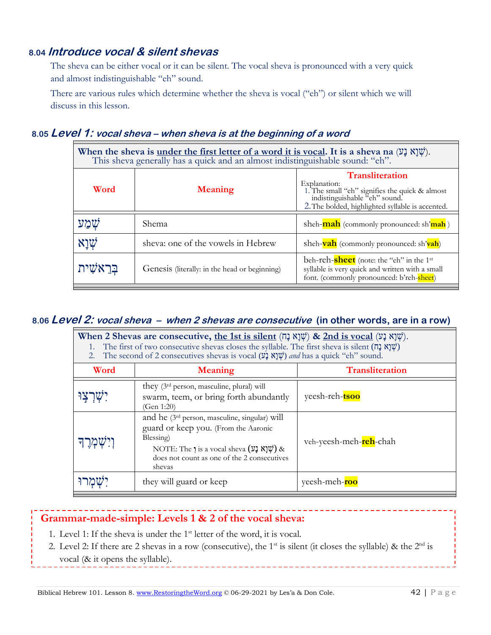# **8.04 Introduce vocal & silent shevas**

The sheva can be either vocal or it can be silent. The vocal sheva is pronounced with a very quick and almost indistinguishable "eh" sound.

There are various rules which determine whether the sheva is vocal ("eh") or silent which we will discuss in this lesson.

# **8.05 Level 1: vocal sheva – when sheva is at the beginning of a word**

| When the sheva is <u>under the first letter of a word it is vocal</u> . It is a sheva na $(\nabla \xi)(\nabla \xi)$ .<br>This sheva generally has a quick and an almost indistinguishable sound: "eh". |                                               |                                                                                                                                                                               |  |
|--------------------------------------------------------------------------------------------------------------------------------------------------------------------------------------------------------|-----------------------------------------------|-------------------------------------------------------------------------------------------------------------------------------------------------------------------------------|--|
| Word                                                                                                                                                                                                   | <b>Meaning</b>                                | <b>Transliteration</b><br>Explanation:<br>1. The small "eh" signifies the quick & almost<br>indistinguishable "eh" sound.<br>2. The bolded, highlighted syllable is accented. |  |
| שמע                                                                                                                                                                                                    | Shema                                         | sheh- <b>mah</b> (commonly pronounced: sh'mah)                                                                                                                                |  |
| אַנָא $\psi$                                                                                                                                                                                           | sheva: one of the vowels in Hebrew            | sheh- <b>vah</b> (commonly pronounced: sh'vah)                                                                                                                                |  |
| בראשית                                                                                                                                                                                                 | Genesis (literally: in the head or beginning) | beh-reh-sheet (note: the "eh" in the 1 <sup>st</sup><br>syllable is very quick and written with a small<br>font. (commonly pronounced: b'reh-sheet)                           |  |

#### **8.06 Level 2: vocal sheva – when 2 shevas are consecutive (in other words, are in a row)**

| When 2 Shevas are consecutive, <u>the 1st is silent</u> (שְׁנָא נָט) & 2nd is vocal (שְׁנָא נָט).<br>The first of two consecutive shevas closes the syllable. The first sheva is silent ( $\overrightarrow{np}$ )<br>2. The second of 2 consecutives shevas is vocal (שָׁנָא נָע) and has a quick "eh" sound. |                                                                                                                                                                                                                                                                                |                                 |  |  |
|---------------------------------------------------------------------------------------------------------------------------------------------------------------------------------------------------------------------------------------------------------------------------------------------------------------|--------------------------------------------------------------------------------------------------------------------------------------------------------------------------------------------------------------------------------------------------------------------------------|---------------------------------|--|--|
| Word                                                                                                                                                                                                                                                                                                          | <b>Meaning</b>                                                                                                                                                                                                                                                                 | <b>Transliteration</b>          |  |  |
|                                                                                                                                                                                                                                                                                                               | they (3 <sup>rd</sup> person, masculine, plural) will<br>swarm, teem, or bring forth abundantly<br>(Gen 1:20)                                                                                                                                                                  | yeesh-reh-tsoo                  |  |  |
|                                                                                                                                                                                                                                                                                                               | and he (3 <sup>rd</sup> person, masculine, singular) will<br>guard or keep you. (From the Aaronic<br>Blessing)<br>NOTE: The 1 is a vocal sheva $(\mathfrak{Y} \mathfrak{Z} \mathfrak{X} \mathfrak{Y} \mathfrak{Y})$ &<br>does not count as one of the 2 consecutives<br>shevas | veh-yeesh-meh- <b>reh</b> -chah |  |  |
|                                                                                                                                                                                                                                                                                                               | they will guard or keep                                                                                                                                                                                                                                                        | yeesh-meh-roo                   |  |  |

#### **Grammar-made-simple: Levels 1 & 2 of the vocal sheva:**

- 1. Level 1: If the sheva is under the  $1<sup>st</sup>$  letter of the word, it is vocal.
- 2. Level 2: If there are 2 shevas in a row (consecutive), the 1<sup>st</sup> is silent (it closes the syllable) & the  $2<sup>nd</sup>$  is vocal (& it opens the syllable).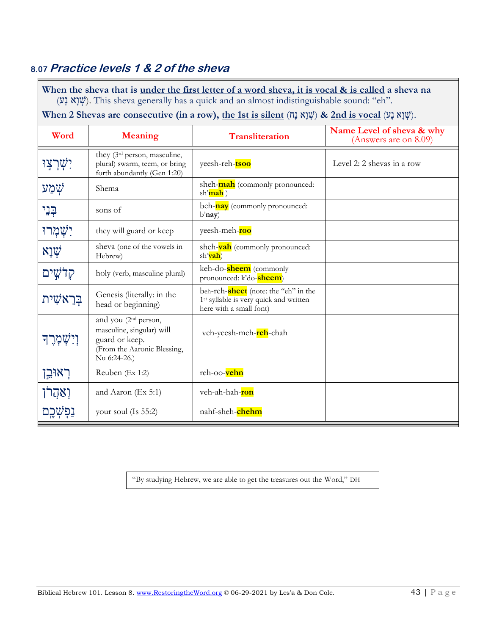# **8.07 Practice levels 1 & 2 of the sheva**

When the sheva that is under the first letter of a word sheva, it is vocal & is called a sheva na (ע נ א ו שׁ(. This sheva generally has a quick and an almost indistinguishable sound: "eh".

#### **When 2 Shevas are consecutive (in a row), the 1st is silent** (עָנָא נָט) & 2nd is vocal (שְׁנָא נָט).

| Word         | <b>Meaning</b>                                                                                                                 | <b>Transliteration</b>                                                                                                | Name Level of sheva & why<br>(Answers are on 8.09) |
|--------------|--------------------------------------------------------------------------------------------------------------------------------|-----------------------------------------------------------------------------------------------------------------------|----------------------------------------------------|
| יִשְׁרְצִוּ  | they (3 <sup>rd</sup> person, masculine,<br>plural) swarm, teem, or bring<br>forth abundantly (Gen 1:20)                       | yeesh-reh-tsoo                                                                                                        | Level 2: 2 shevas in a row                         |
| שְׁמַע       | Shema                                                                                                                          | sheh- <b>mah</b> (commonly pronounced:<br>sh'mah)                                                                     |                                                    |
| ּבְנֵי       | sons of                                                                                                                        | beh-nay (commonly pronounced:<br>b'nay)                                                                               |                                                    |
| יִשְׁמְרוּ   | they will guard or keep                                                                                                        | yeesh-meh-roo                                                                                                         |                                                    |
| שְׁוָא       | sheva (one of the vowels in<br>Hebrew)                                                                                         | sheh- <b>vah</b> (commonly pronounced:<br>sh'vah)                                                                     |                                                    |
| קלֹטֵים      | holy (verb, masculine plural)                                                                                                  | keh-do-sheem (commonly<br>pronounced: k'do- <b>sheem</b> )                                                            |                                                    |
| ַבְּרֵאשִׁית | Genesis (literally: in the<br>head or beginning)                                                                               | beh-reh-sheet (note: the "eh" in the<br>1 <sup>st</sup> syllable is very quick and written<br>here with a small font) |                                                    |
| וְיִשְׁמְרֶך | and you (2 <sup>nd</sup> person,<br>masculine, singular) will<br>guard or keep.<br>(From the Aaronic Blessing,<br>Nu 6:24-26.) | veh-yeesh-meh- <b>reh</b> -chah                                                                                       |                                                    |
| ראוּבֵן      | Reuben (Ex 1:2)                                                                                                                | reh-oo-vehn                                                                                                           |                                                    |
| וְאַהֲר      | and Aaron (Ex 5:1)                                                                                                             | veh-ah-hah-ron                                                                                                        |                                                    |
|              | your soul (Is $55:2$ )                                                                                                         | nahf-sheh-chehm                                                                                                       |                                                    |

"By studying Hebrew, we are able to get the treasures out the Word," DH